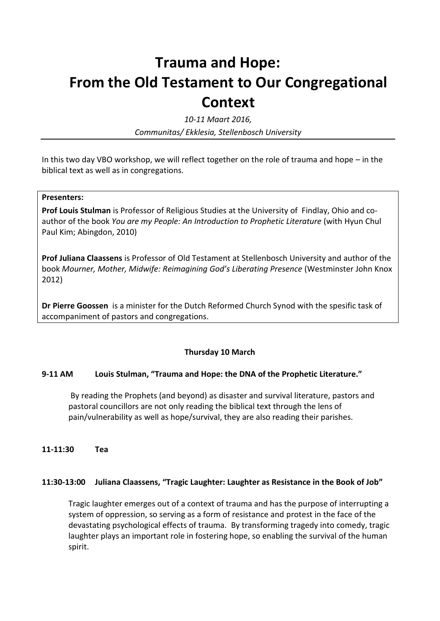# **Trauma and Hope: From the Old Testament to Our Congregational Context**

*10-11 Maart 2016,*

*Communitas/ Ekklesia, Stellenbosch University*

In this two day VBO workshop, we will reflect together on the role of trauma and hope – in the biblical text as well as in congregations.

#### **Presenters:**

**Prof Louis Stulman** is Professor of Religious Studies at the University of Findlay, Ohio and coauthor of the book *You are my People: An Introduction to Prophetic Literature* (with Hyun Chul Paul Kim; Abingdon, 2010)

**Prof Juliana Claassens** is Professor of Old Testament at Stellenbosch University and author of the book *Mourner, Mother, Midwife: Reimagining God's Liberating Presence* (Westminster John Knox 2012)

**Dr Pierre Goossen** is a minister for the Dutch Reformed Church Synod with the spesific task of accompaniment of pastors and congregations.

#### **Thursday 10 March**

#### **9-11 AM Louis Stulman, "Trauma and Hope: the DNA of the Prophetic Literature."**

By reading the Prophets (and beyond) as disaster and survival literature, pastors and pastoral councillors are not only reading the biblical text through the lens of pain/vulnerability as well as hope/survival, they are also reading their parishes.

**11-11:30 Tea** 

#### **11:30-13:00 Juliana Claassens, "Tragic Laughter: Laughter as Resistance in the Book of Job"**

Tragic laughter emerges out of a context of trauma and has the purpose of interrupting a system of oppression, so serving as a form of resistance and protest in the face of the devastating psychological effects of trauma. By transforming tragedy into comedy, tragic laughter plays an important role in fostering hope, so enabling the survival of the human spirit.